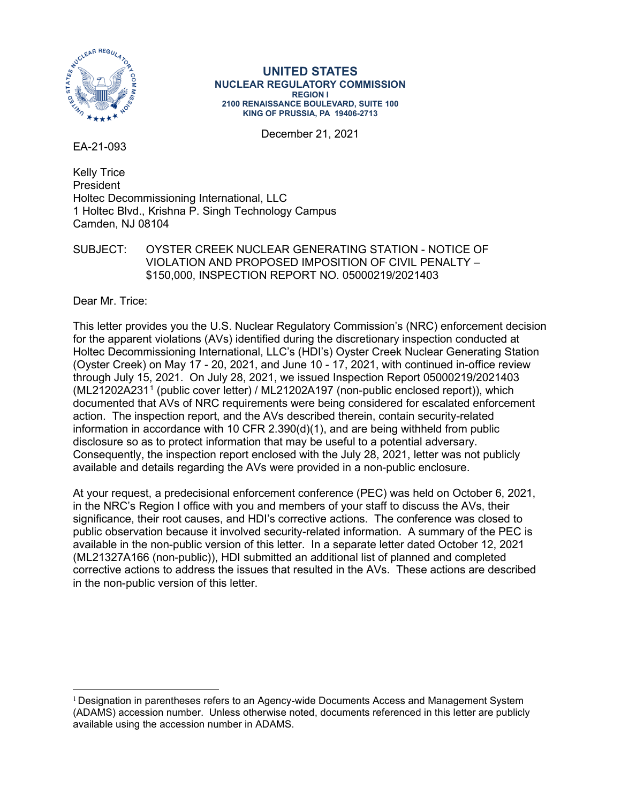

**UNITED STATES NUCLEAR REGULATORY COMMISSION REGION I 2100 RENAISSANCE BOULEVARD, SUITE 100 KING OF PRUSSIA, PA 19406-2713**

December 21, 2021

EA-21-093

Kelly Trice President Holtec Decommissioning International, LLC 1 Holtec Blvd., Krishna P. Singh Technology Campus Camden, NJ 08104

SUBJECT: OYSTER CREEK NUCLEAR GENERATING STATION - NOTICE OF VIOLATION AND PROPOSED IMPOSITION OF CIVIL PENALTY – \$150,000, INSPECTION REPORT NO. 05000219/2021403

Dear Mr. Trice:

This letter provides you the U.S. Nuclear Regulatory Commission's (NRC) enforcement decision for the apparent violations (AVs) identified during the discretionary inspection conducted at Holtec Decommissioning International, LLC's (HDI's) Oyster Creek Nuclear Generating Station (Oyster Creek) on May 17 - 20, 2021, and June 10 - 17, 2021, with continued in-office review through July 15, 2021. On July 28, 2021, we issued Inspection Report 05000219/2021403 (ML21202A231[1](#page-0-0) (public cover letter) / ML21202A197 (non-public enclosed report)), which documented that AVs of NRC requirements were being considered for escalated enforcement action. The inspection report, and the AVs described therein, contain security-related information in accordance with 10 CFR 2.390(d)(1), and are being withheld from public disclosure so as to protect information that may be useful to a potential adversary. Consequently, the inspection report enclosed with the July 28, 2021, letter was not publicly available and details regarding the AVs were provided in a non-public enclosure.

At your request, a predecisional enforcement conference (PEC) was held on October 6, 2021, in the NRC's Region I office with you and members of your staff to discuss the AVs, their significance, their root causes, and HDI's corrective actions. The conference was closed to public observation because it involved security-related information. A summary of the PEC is available in the non-public version of this letter. In a separate letter dated October 12, 2021 (ML21327A166 (non-public)), HDI submitted an additional list of planned and completed corrective actions to address the issues that resulted in the AVs. These actions are described in the non-public version of this letter.

<span id="page-0-0"></span> $1$  Designation in parentheses refers to an Agency-wide Documents Access and Management System (ADAMS) accession number. Unless otherwise noted, documents referenced in this letter are publicly available using the accession number in ADAMS.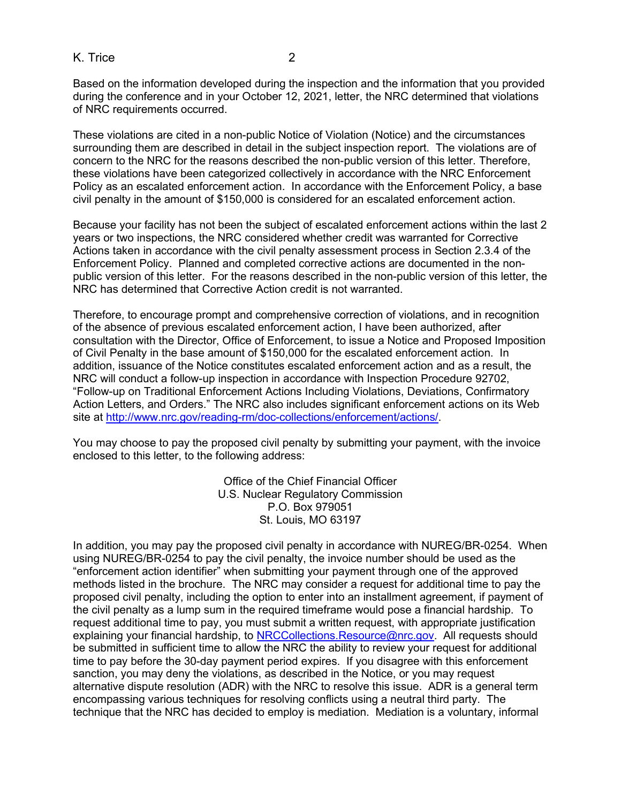## K. Trice 2

Based on the information developed during the inspection and the information that you provided during the conference and in your October 12, 2021, letter, the NRC determined that violations of NRC requirements occurred.

These violations are cited in a non-public Notice of Violation (Notice) and the circumstances surrounding them are described in detail in the subject inspection report. The violations are of concern to the NRC for the reasons described the non-public version of this letter. Therefore, these violations have been categorized collectively in accordance with the NRC Enforcement Policy as an escalated enforcement action. In accordance with the Enforcement Policy, a base civil penalty in the amount of \$150,000 is considered for an escalated enforcement action.

Because your facility has not been the subject of escalated enforcement actions within the last 2 years or two inspections, the NRC considered whether credit was warranted for Corrective Actions taken in accordance with the civil penalty assessment process in Section 2.3.4 of the Enforcement Policy. Planned and completed corrective actions are documented in the nonpublic version of this letter. For the reasons described in the non-public version of this letter, the NRC has determined that Corrective Action credit is not warranted.

Therefore, to encourage prompt and comprehensive correction of violations, and in recognition of the absence of previous escalated enforcement action, I have been authorized, after consultation with the Director, Office of Enforcement, to issue a Notice and Proposed Imposition of Civil Penalty in the base amount of \$150,000 for the escalated enforcement action. In addition, issuance of the Notice constitutes escalated enforcement action and as a result, the NRC will conduct a follow-up inspection in accordance with Inspection Procedure 92702, "Follow-up on Traditional Enforcement Actions Including Violations, Deviations, Confirmatory Action Letters, and Orders." The NRC also includes significant enforcement actions on its Web site at [http://www.nrc.gov/reading-rm/doc-collections/enforcement/actions/.](http://www.nrc.gov/readingrm/doccollections/enforcement/actions/)

You may choose to pay the proposed civil penalty by submitting your payment, with the invoice enclosed to this letter, to the following address:

> Office of the Chief Financial Officer U.S. Nuclear Regulatory Commission P.O. Box 979051 St. Louis, MO 63197

In addition, you may pay the proposed civil penalty in accordance with NUREG/BR-0254. When using NUREG/BR-0254 to pay the civil penalty, the invoice number should be used as the "enforcement action identifier" when submitting your payment through one of the approved methods listed in the brochure. The NRC may consider a request for additional time to pay the proposed civil penalty, including the option to enter into an installment agreement, if payment of the civil penalty as a lump sum in the required timeframe would pose a financial hardship. To request additional time to pay, you must submit a written request, with appropriate justification explaining your financial hardship, to [NRCCollections.Resource@nrc.gov.](mailto:NRCCollections.Resource@nrc.gov) All requests should be submitted in sufficient time to allow the NRC the ability to review your request for additional time to pay before the 30-day payment period expires. If you disagree with this enforcement sanction, you may deny the violations, as described in the Notice, or you may request alternative dispute resolution (ADR) with the NRC to resolve this issue. ADR is a general term encompassing various techniques for resolving conflicts using a neutral third party. The technique that the NRC has decided to employ is mediation. Mediation is a voluntary, informal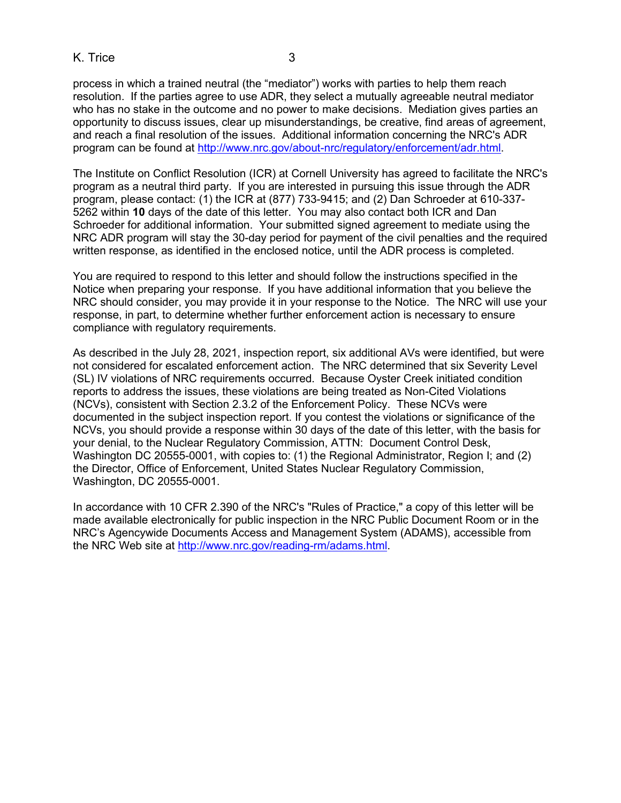K. Trice 3

process in which a trained neutral (the "mediator") works with parties to help them reach resolution. If the parties agree to use ADR, they select a mutually agreeable neutral mediator who has no stake in the outcome and no power to make decisions. Mediation gives parties an opportunity to discuss issues, clear up misunderstandings, be creative, find areas of agreement,

and reach a final resolution of the issues. Additional information concerning the NRC's ADR program can be found at [http://www.nrc.gov/about-nrc/regulatory/enforcement/adr.html.](http://www.nrc.gov/about-nrc/regulatory/enforcement/adr.html)

The Institute on Conflict Resolution (ICR) at Cornell University has agreed to facilitate the NRC's program as a neutral third party. If you are interested in pursuing this issue through the ADR program, please contact: (1) the ICR at (877) 733-9415; and (2) Dan Schroeder at 610-337- 5262 within **10** days of the date of this letter. You may also contact both ICR and Dan Schroeder for additional information. Your submitted signed agreement to mediate using the NRC ADR program will stay the 30-day period for payment of the civil penalties and the required written response, as identified in the enclosed notice, until the ADR process is completed.

You are required to respond to this letter and should follow the instructions specified in the Notice when preparing your response. If you have additional information that you believe the NRC should consider, you may provide it in your response to the Notice. The NRC will use your response, in part, to determine whether further enforcement action is necessary to ensure compliance with regulatory requirements.

As described in the July 28, 2021, inspection report, six additional AVs were identified, but were not considered for escalated enforcement action. The NRC determined that six Severity Level (SL) IV violations of NRC requirements occurred. Because Oyster Creek initiated condition reports to address the issues, these violations are being treated as Non-Cited Violations (NCVs), consistent with Section 2.3.2 of the Enforcement Policy. These NCVs were documented in the subject inspection report. If you contest the violations or significance of the NCVs, you should provide a response within 30 days of the date of this letter, with the basis for your denial, to the Nuclear Regulatory Commission, ATTN: Document Control Desk, Washington DC 20555-0001, with copies to: (1) the Regional Administrator, Region I; and (2) the Director, Office of Enforcement, United States Nuclear Regulatory Commission, Washington, DC 20555-0001.

In accordance with 10 CFR 2.390 of the NRC's "Rules of Practice," a copy of this letter will be made available electronically for public inspection in the NRC Public Document Room or in the NRC's Agencywide Documents Access and Management System (ADAMS), accessible from the NRC Web site at [http://www.nrc.gov/reading-rm/adams.html.](http://www.nrc.gov/reading-rm/adams.html)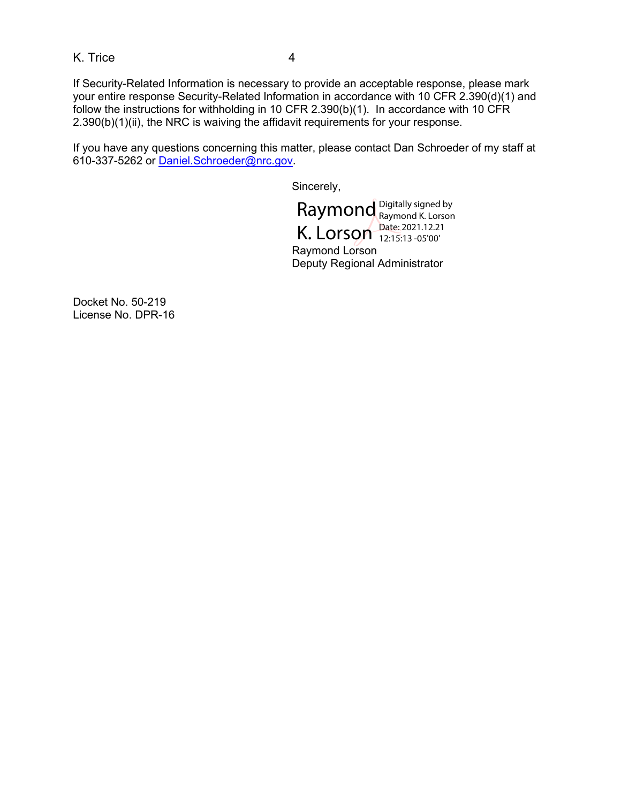K. Trice 4

If Security-Related Information is necessary to provide an acceptable response, please mark your entire response Security-Related Information in accordance with 10 CFR 2.390(d)(1) and follow the instructions for withholding in 10 CFR 2.390(b)(1). In accordance with 10 CFR 2.390(b)(1)(ii), the NRC is waiving the affidavit requirements for your response.

If you have any questions concerning this matter, please contact Dan Schroeder of my staff at 610-337-5262 or [Daniel.Schroeder@nrc.gov.](mailto:Daniel.Schroeder@nrc.gov)

Sincerely,

Raymond<sup>1</sup> K. Lorson Digitally signed by Raymond K. Lorson Date: 2021.12.21 12:15:13 -05'00'

Raymond Lorson Deputy Regional Administrator

Docket No. 50-219 License No. DPR-16